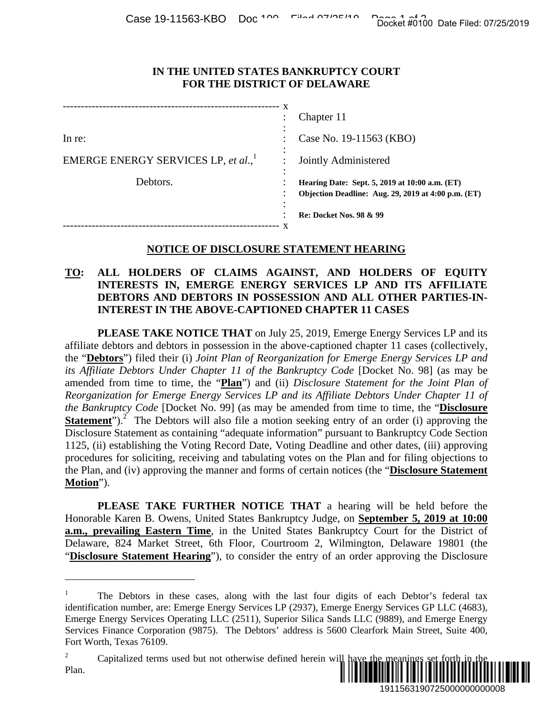#### **IN THE UNITED STATES BANKRUPTCY COURT FOR THE DISTRICT OF DELAWARE**

|                                                 | x | Chapter 11                                                                                            |
|-------------------------------------------------|---|-------------------------------------------------------------------------------------------------------|
| In re:                                          |   | Case No. 19-11563 (KBO)                                                                               |
| EMERGE ENERGY SERVICES LP, et al., <sup>1</sup> |   | Jointly Administered                                                                                  |
| Debtors.                                        |   | Hearing Date: Sept. 5, 2019 at 10:00 a.m. (ET)<br>Objection Deadline: Aug. 29, 2019 at 4:00 p.m. (ET) |
|                                                 |   | <b>Re: Docket Nos. 98 &amp; 99</b>                                                                    |

## **NOTICE OF DISCLOSURE STATEMENT HEARING**

# **TO: ALL HOLDERS OF CLAIMS AGAINST, AND HOLDERS OF EQUITY INTERESTS IN, EMERGE ENERGY SERVICES LP AND ITS AFFILIATE DEBTORS AND DEBTORS IN POSSESSION AND ALL OTHER PARTIES-IN-INTEREST IN THE ABOVE-CAPTIONED CHAPTER 11 CASES**

**PLEASE TAKE NOTICE THAT** on July 25, 2019, Emerge Energy Services LP and its affiliate debtors and debtors in possession in the above-captioned chapter 11 cases (collectively, the "**Debtors**") filed their (i) *Joint Plan of Reorganization for Emerge Energy Services LP and its Affiliate Debtors Under Chapter 11 of the Bankruptcy Code* [Docket No. 98] (as may be amended from time to time, the "**Plan**") and (ii) *Disclosure Statement for the Joint Plan of Reorganization for Emerge Energy Services LP and its Affiliate Debtors Under Chapter 11 of the Bankruptcy Code* [Docket No. 99] (as may be amended from time to time, the "**Disclosure Statement**").<sup>2</sup> The Debtors will also file a motion seeking entry of an order (i) approving the Disclosure Statement as containing "adequate information" pursuant to Bankruptcy Code Section 1125, (ii) establishing the Voting Record Date, Voting Deadline and other dates, (iii) approving procedures for soliciting, receiving and tabulating votes on the Plan and for filing objections to the Plan, and (iv) approving the manner and forms of certain notices (the "**Disclosure Statement Motion**"). Docket #0100 Date Filed: 07/25/2019<br>
1911 TURT<br>
1912 at 10:00 a.m. (ET)<br>
1919 at 10:00 a.m. (ET)<br>
199<br>
199<br>
199<br>
199<br>
199<br>
199<br>
1919 ELING<br>
1919 SCRES OF EQUITY<br>
19156319 Services LP and its<br>
1916 Comparison Content II of<br>

**PLEASE TAKE FURTHER NOTICE THAT** a hearing will be held before the Honorable Karen B. Owens, United States Bankruptcy Judge, on **September 5, 2019 at 10:00 a.m., prevailing Eastern Time**, in the United States Bankruptcy Court for the District of Delaware, 824 Market Street, 6th Floor, Courtroom 2, Wilmington, Delaware 19801 (the "**Disclosure Statement Hearing**"), to consider the entry of an order approving the Disclosure

 $\overline{a}$ 

<sup>1</sup> The Debtors in these cases, along with the last four digits of each Debtor's federal tax identification number, are: Emerge Energy Services LP (2937), Emerge Energy Services GP LLC (4683), Emerge Energy Services Operating LLC (2511), Superior Silica Sands LLC (9889), and Emerge Energy Services Finance Corporation (9875). The Debtors' address is 5600 Clearfork Main Street, Suite 400, Fort Worth, Texas 76109.

<sup>2</sup> Capitalized terms used but not otherwise defined herein will h Plan. ÖÖÖÖÖÖÖÖÖÖÖÖÖÖÖÖÖÖÖÖÖÖÖÖÖÖÖÖÖÖÖÖÖÖÖÖ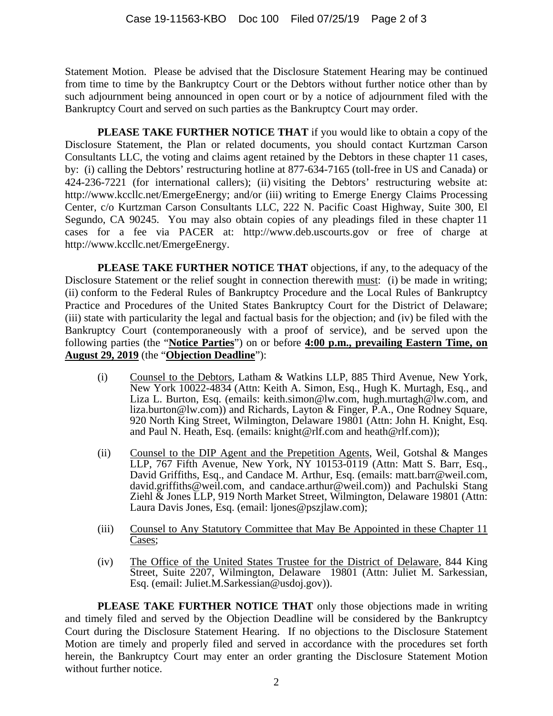Statement Motion. Please be advised that the Disclosure Statement Hearing may be continued from time to time by the Bankruptcy Court or the Debtors without further notice other than by such adjournment being announced in open court or by a notice of adjournment filed with the Bankruptcy Court and served on such parties as the Bankruptcy Court may order.

**PLEASE TAKE FURTHER NOTICE THAT** if you would like to obtain a copy of the Disclosure Statement, the Plan or related documents, you should contact Kurtzman Carson Consultants LLC, the voting and claims agent retained by the Debtors in these chapter 11 cases, by: (i) calling the Debtors' restructuring hotline at 877-634-7165 (toll-free in US and Canada) or 424-236-7221 (for international callers); (ii) visiting the Debtors' restructuring website at: http://www.kccllc.net/EmergeEnergy; and/or (iii) writing to Emerge Energy Claims Processing Center, c/o Kurtzman Carson Consultants LLC, 222 N. Pacific Coast Highway, Suite 300, El Segundo, CA 90245. You may also obtain copies of any pleadings filed in these chapter 11 cases for a fee via PACER at: http://www.deb.uscourts.gov or free of charge at http://www.kccllc.net/EmergeEnergy.

**PLEASE TAKE FURTHER NOTICE THAT** objections, if any, to the adequacy of the Disclosure Statement or the relief sought in connection therewith must: (i) be made in writing; (ii) conform to the Federal Rules of Bankruptcy Procedure and the Local Rules of Bankruptcy Practice and Procedures of the United States Bankruptcy Court for the District of Delaware; (iii) state with particularity the legal and factual basis for the objection; and (iv) be filed with the Bankruptcy Court (contemporaneously with a proof of service), and be served upon the following parties (the "**Notice Parties**") on or before **4:00 p.m., prevailing Eastern Time, on August 29, 2019** (the "**Objection Deadline**"):

- (i) Counsel to the Debtors, Latham & Watkins LLP, 885 Third Avenue, New York, New York 10022-4834 (Attn: Keith A. Simon, Esq., Hugh K. Murtagh, Esq., and Liza L. Burton, Esq. (emails: keith.simon@lw.com, hugh.murtagh@lw.com, and liza.burton@lw.com)) and Richards, Layton & Finger, P.A., One Rodney Square, 920 North King Street, Wilmington, Delaware 19801 (Attn: John H. Knight, Esq. and Paul N. Heath, Esq. (emails: knight@rlf.com and heath@rlf.com));
- (ii) Counsel to the DIP Agent and the Prepetition Agents, Weil, Gotshal & Manges LLP, 767 Fifth Avenue, New York, NY 10153-0119 (Attn: Matt S. Barr, Esq., David Griffiths, Esq., and Candace M. Arthur, Esq. (emails: matt.barr@weil.com, david.griffiths@weil.com, and candace.arthur@weil.com)) and Pachulski Stang Ziehl & Jones LLP, 919 North Market Street, Wilmington, Delaware 19801 (Attn: Laura Davis Jones, Esq. (email: ljones@pszjlaw.com);
- (iii) Counsel to Any Statutory Committee that May Be Appointed in these Chapter 11 Cases;
- (iv) The Office of the United States Trustee for the District of Delaware, 844 King Street, Suite 2207, Wilmington, Delaware 19801 (Attn: Juliet M. Sarkessian, Esq. (email: Juliet.M.Sarkessian@usdoj.gov)).

**PLEASE TAKE FURTHER NOTICE THAT** only those objections made in writing and timely filed and served by the Objection Deadline will be considered by the Bankruptcy Court during the Disclosure Statement Hearing. If no objections to the Disclosure Statement Motion are timely and properly filed and served in accordance with the procedures set forth herein, the Bankruptcy Court may enter an order granting the Disclosure Statement Motion without further notice.